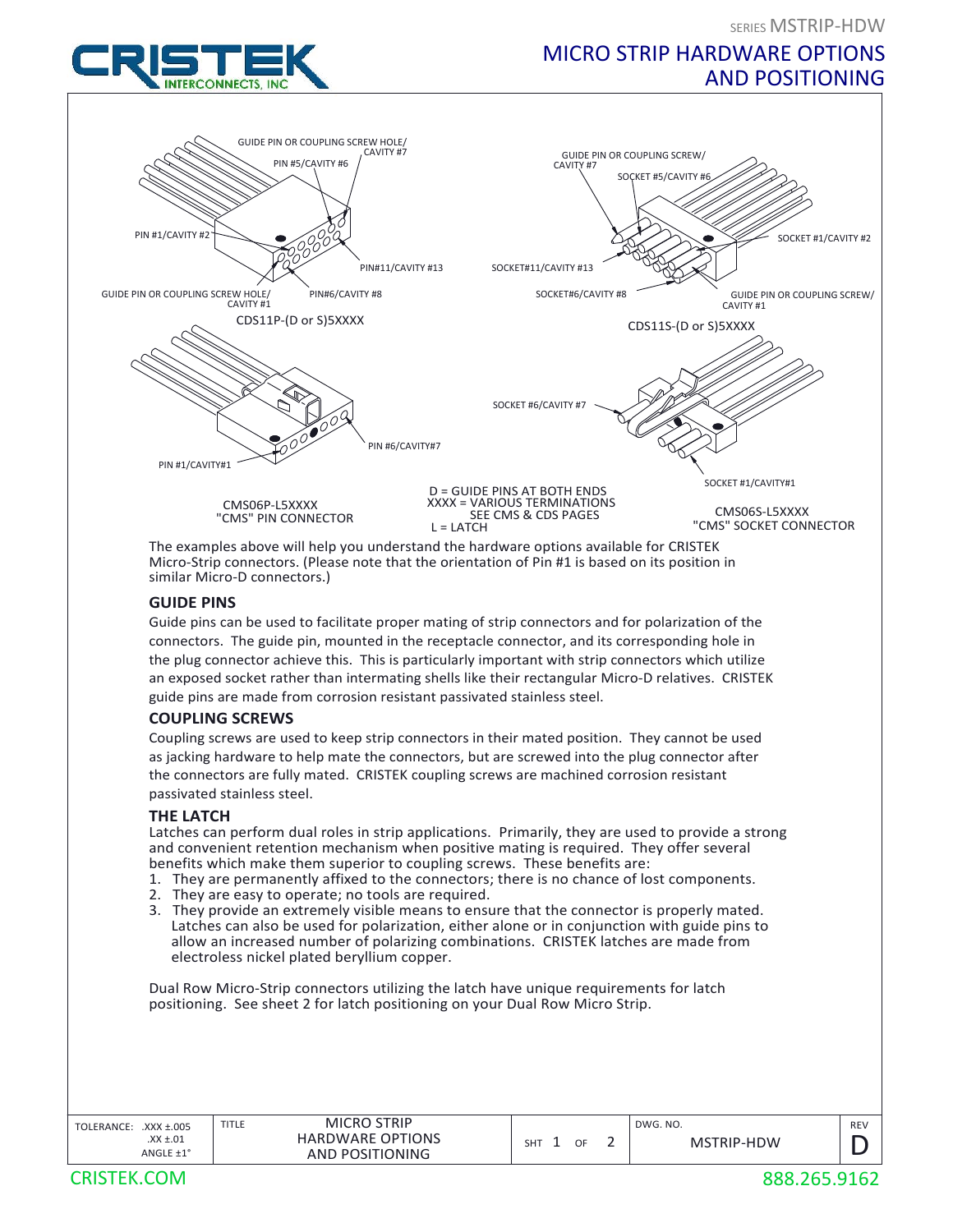# MICRO STRIP HARDWARE OPTIONS AND POSITIONING



The examples above will help you understand the hardware options available for CRISTEK Micro‐Strip connectors. (Please note that the orientation of Pin #1 is based on its position in similar Micro‐D connectors.)

#### **GUIDE PINS**

Guide pins can be used to facilitate proper mating of strip connectors and for polarization of the connectors. The guide pin, mounted in the receptacle connector, and its corresponding hole in the plug connector achieve this. This is particularly important with strip connectors which utilize an exposed socket rather than intermating shells like their rectangular Micro-D relatives. CRISTEK guide pins are made from corrosion resistant passivated stainless steel.

## **COUPLING SCREWS**

Coupling screws are used to keep strip connectors in their mated position. They cannot be used as jacking hardware to help mate the connectors, but are screwed into the plug connector after the connectors are fully mated. CRISTEK coupling screws are machined corrosion resistant passivated stainless steel.

## **THE LATCH**

Latches can perform dual roles in strip applications. Primarily, they are used to provide a strong and convenient retention mechanism when positive mating is required. They offer several benefits which make them superior to coupling screws. These benefits are:

- 1. They are permanently affixed to the connectors; there is no chance of lost components.<br>2. They are easy to operate: no tools are required
- They are easy to operate; no tools are required.
- 3. They provide an extremely visible means to ensure that the connector is properly mated. Latches can also be used for polarization, either alone or in conjunction with guide pins to allow an increased number of polarizing combinations. CRISTEK latches are made from electroless nickel plated beryllium copper.

Dual Row Micro‐Strip connectors utilizing the latch have unique requirements for latch positioning. See sheet 2 for latch positioning on your Dual Row Micro Strip.